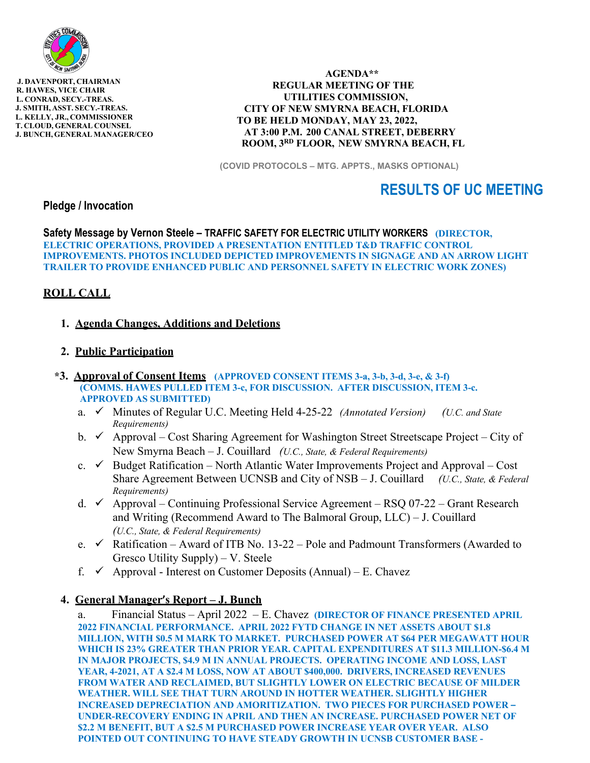

 **J. DAVENPORT, CHAIRMAN R. HAWES, VICE CHAIR L. CONRAD, SECY.-TREAS. J. SMITH, ASST. SECY.-TREAS. L. KELLY, JR., COMMISSIONER T. CLOUD, GENERAL COUNSEL J. BUNCH, GENERAL MANAGER/CEO** 

 **AGENDA\*\* REGULAR MEETING OF THE UTILITIES COMMISSION, CITY OF NEW SMYRNA BEACH, FLORIDA TO BE HELD MONDAY, MAY 23, 2022, AT 3:00 P.M. 200 CANAL STREET, DEBERRY ROOM, 3RD FLOOR, NEW SMYRNA BEACH, FL** 

**(COVID PROTOCOLS – MTG. APPTS., MASKS OPTIONAL)** 

# **RESULTS OF UC MEETING**

**Pledge / Invocation** 

**Safety Message by Vernon Steele – TRAFFIC SAFETY FOR ELECTRIC UTILITY WORKERS (DIRECTOR, ELECTRIC OPERATIONS, PROVIDED A PRESENTATION ENTITLED T&D TRAFFIC CONTROL IMPROVEMENTS. PHOTOS INCLUDED DEPICTED IMPROVEMENTS IN SIGNAGE AND AN ARROW LIGHT TRAILER TO PROVIDE ENHANCED PUBLIC AND PERSONNEL SAFETY IN ELECTRIC WORK ZONES)** 

## **ROLL CALL**

#### **1. Agenda Changes, Additions and Deletions**

### **2. Public Participation**

- **\*3. Approval of Consent Items (APPROVED CONSENT ITEMS 3-a, 3-b, 3-d, 3-e, & 3-f) (COMMS. HAWES PULLED ITEM 3-c, FOR DISCUSSION. AFTER DISCUSSION, ITEM 3-c. APPROVED AS SUBMITTED)** 
	- a. **√** Minutes of Regular U.C. Meeting Held 4-25-22 *(Annotated Version) (U.C. and State Requirements)*
	- b.  $\checkmark$  Approval Cost Sharing Agreement for Washington Street Streetscape Project City of New Smyrna Beach – J. Couillard *(U.C., State, & Federal Requirements)*
	- c.  $\checkmark$  Budget Ratification North Atlantic Water Improvements Project and Approval Cost Share Agreement Between UCNSB and City of NSB – J. Couillard *(U.C., State, & Federal Requirements)*
	- d.  $\checkmark$  Approval Continuing Professional Service Agreement RSQ 07-22 Grant Research and Writing (Recommend Award to The Balmoral Group, LLC) – J. Couillard *(U.C., State, & Federal Requirements)*
	- e.  $\checkmark$  Ratification Award of ITB No. 13-22 Pole and Padmount Transformers (Awarded to Gresco Utility Supply) – V. Steele
	- f.  $\checkmark$  Approval Interest on Customer Deposits (Annual) E. Chavez

#### **4. General Manager's Report – J. Bunch**

a. Financial Status – April 2022 – E. Chavez **(DIRECTOR OF FINANCE PRESENTED APRIL 2022 FINANCIAL PERFORMANCE. APRIL 2022 FYTD CHANGE IN NET ASSETS ABOUT \$1.8 MILLION, WITH \$0.5 M MARK TO MARKET. PURCHASED POWER AT \$64 PER MEGAWATT HOUR WHICH IS 23% GREATER THAN PRIOR YEAR. CAPITAL EXPENDITURES AT \$11.3 MILLION-\$6.4 M IN MAJOR PROJECTS, \$4.9 M IN ANNUAL PROJECTS. OPERATING INCOME AND LOSS, LAST YEAR, 4-2021, AT A \$2.4 M LOSS, NOW AT ABOUT \$400,000. DRIVERS, INCREASED REVENUES FROM WATER AND RECLAIMED, BUT SLIGHTLY LOWER ON ELECTRIC BECAUSE OF MILDER WEATHER. WILL SEE THAT TURN AROUND IN HOTTER WEATHER. SLIGHTLY HIGHER INCREASED DEPRECIATION AND AMORITIZATION. TWO PIECES FOR PURCHASED POWER – UNDER-RECOVERY ENDING IN APRIL AND THEN AN INCREASE. PURCHASED POWER NET OF \$2.2 M BENEFIT, BUT A \$2.5 M PURCHASED POWER INCREASE YEAR OVER YEAR. ALSO POINTED OUT CONTINUING TO HAVE STEADY GROWTH IN UCNSB CUSTOMER BASE -**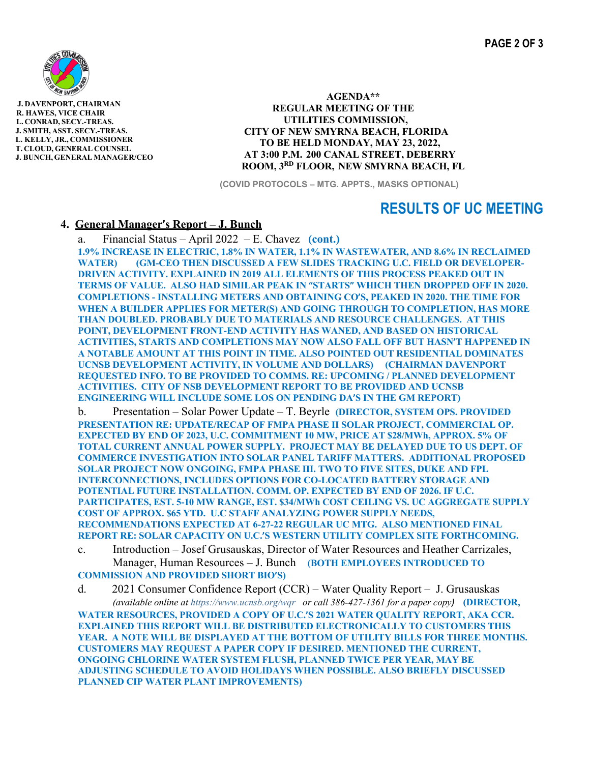

 **J. DAVENPORT, CHAIRMAN R. HAWES, VICE CHAIR L. CONRAD, SECY.-TREAS. J. SMITH, ASST. SECY.-TREAS. L. KELLY, JR., COMMISSIONER T. CLOUD, GENERAL COUNSEL J. BUNCH, GENERAL MANAGER/CEO** 

 **AGENDA\*\* REGULAR MEETING OF THE UTILITIES COMMISSION, CITY OF NEW SMYRNA BEACH, FLORIDA TO BE HELD MONDAY, MAY 23, 2022, AT 3:00 P.M. 200 CANAL STREET, DEBERRY ROOM, 3RD FLOOR, NEW SMYRNA BEACH, FL** 

**(COVID PROTOCOLS – MTG. APPTS., MASKS OPTIONAL)** 

## **RESULTS OF UC MEETING**

### **4. General Manager's Report – J. Bunch**

a. Financial Status – April 2022 – E. Chavez **(cont.)**

**1.9% INCREASE IN ELECTRIC, 1.8% IN WATER, 1.1% IN WASTEWATER, AND 8.6% IN RECLAIMED WATER) (GM-CEO THEN DISCUSSED A FEW SLIDES TRACKING U.C. FIELD OR DEVELOPER-DRIVEN ACTIVITY. EXPLAINED IN 2019 ALL ELEMENTS OF THIS PROCESS PEAKED OUT IN TERMS OF VALUE. ALSO HAD SIMILAR PEAK IN "STARTS" WHICH THEN DROPPED OFF IN 2020. COMPLETIONS - INSTALLING METERS AND OBTAINING CO'S, PEAKED IN 2020. THE TIME FOR WHEN A BUILDER APPLIES FOR METER(S) AND GOING THROUGH TO COMPLETION, HAS MORE THAN DOUBLED. PROBABLY DUE TO MATERIALS AND RESOURCE CHALLENGES. AT THIS POINT, DEVELOPMENT FRONT-END ACTIVITY HAS WANED, AND BASED ON HISTORICAL ACTIVITIES, STARTS AND COMPLETIONS MAY NOW ALSO FALL OFF BUT HASN'T HAPPENED IN A NOTABLE AMOUNT AT THIS POINT IN TIME. ALSO POINTED OUT RESIDENTIAL DOMINATES UCNSB DEVELOPMENT ACTIVITY, IN VOLUME AND DOLLARS) (CHAIRMAN DAVENPORT REQUESTED INFO. TO BE PROVIDED TO COMMS. RE: UPCOMING / PLANNED DEVELOPMENT ACTIVITIES. CITY OF NSB DEVELOPMENT REPORT TO BE PROVIDED AND UCNSB ENGINEERING WILL INCLUDE SOME LOS ON PENDING DA'S IN THE GM REPORT)**

b. Presentation – Solar Power Update – T. Beyrle **(DIRECTOR, SYSTEM OPS. PROVIDED PRESENTATION RE: UPDATE/RECAP OF FMPA PHASE II SOLAR PROJECT, COMMERCIAL OP. EXPECTED BY END OF 2023, U.C. COMMITMENT 10 MW, PRICE AT \$28/MWh, APPROX. 5% OF TOTAL CURRENT ANNUAL POWER SUPPLY. PROJECT MAY BE DELAYED DUE TO US DEPT. OF COMMERCE INVESTIGATION INTO SOLAR PANEL TARIFF MATTERS. ADDITIONAL PROPOSED SOLAR PROJECT NOW ONGOING, FMPA PHASE III. TWO TO FIVE SITES, DUKE AND FPL INTERCONNECTIONS, INCLUDES OPTIONS FOR CO-LOCATED BATTERY STORAGE AND POTENTIAL FUTURE INSTALLATION. COMM. OP. EXPECTED BY END OF 2026. IF U.C. PARTICIPATES, EST. 5-10 MW RANGE, EST. \$34/MWh COST CEILING VS. UC AGGREGATE SUPPLY COST OF APPROX. \$65 YTD. U.C STAFF ANALYZING POWER SUPPLY NEEDS, RECOMMENDATIONS EXPECTED AT 6-27-22 REGULAR UC MTG. ALSO MENTIONED FINAL REPORT RE: SOLAR CAPACITY ON U.C.'S WESTERN UTILITY COMPLEX SITE FORTHCOMING.**

c. Introduction – Josef Grusauskas, Director of Water Resources and Heather Carrizales, Manager, Human Resources – J. Bunch **(BOTH EMPLOYEES INTRODUCED TO COMMISSION AND PROVIDED SHORT BIO'S)**

d. 2021 Consumer Confidence Report (CCR) – Water Quality Report – J. Grusauskas *(available online at https://www.ucnsb.org/wqr or call 386-427-1361 for a paper copy)* **(DIRECTOR, WATER RESOURCES, PROVIDED A COPY OF U.C.'S 2021 WATER QUALITY REPORT, AKA CCR. EXPLAINED THIS REPORT WILL BE DISTRIBUTED ELECTRONICALLY TO CUSTOMERS THIS YEAR. A NOTE WILL BE DISPLAYED AT THE BOTTOM OF UTILITY BILLS FOR THREE MONTHS. CUSTOMERS MAY REQUEST A PAPER COPY IF DESIRED. MENTIONED THE CURRENT, ONGOING CHLORINE WATER SYSTEM FLUSH, PLANNED TWICE PER YEAR, MAY BE ADJUSTING SCHEDULE TO AVOID HOLIDAYS WHEN POSSIBLE. ALSO BRIEFLY DISCUSSED PLANNED CIP WATER PLANT IMPROVEMENTS)**